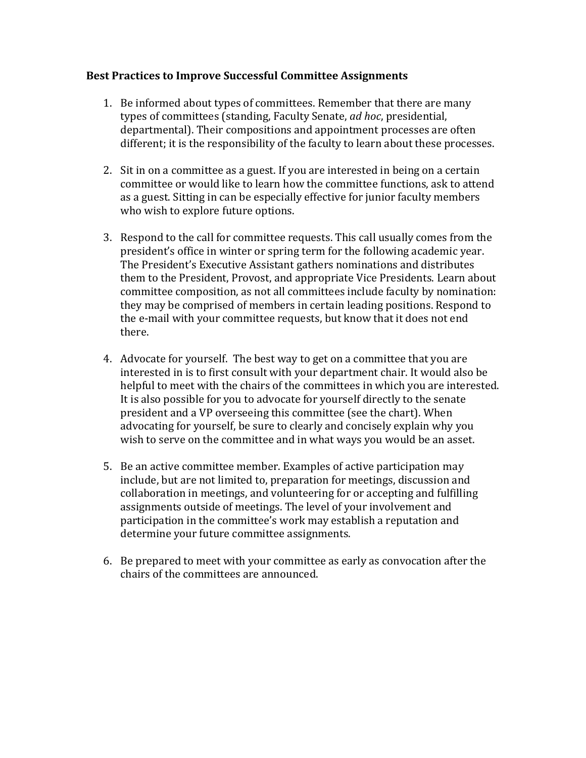#### **Best Practices to Improve Successful Committee Assignments**

- 1. Be informed about types of committees. Remember that there are many types of committees (standing, Faculty Senate, *ad hoc*, presidential, departmental). Their compositions and appointment processes are often different; it is the responsibility of the faculty to learn about these processes.
- 2. Sit in on a committee as a guest. If you are interested in being on a certain committee or would like to learn how the committee functions, ask to attend as a guest. Sitting in can be especially effective for junior faculty members who wish to explore future options.
- 3. Respond to the call for committee requests. This call usually comes from the president's office in winter or spring term for the following academic year. The President's Executive Assistant gathers nominations and distributes them to the President, Provost, and appropriate Vice Presidents. Learn about committee composition, as not all committees include faculty by nomination: they may be comprised of members in certain leading positions. Respond to the e-mail with your committee requests, but know that it does not end there.
- 4. Advocate for yourself. The best way to get on a committee that you are interested in is to first consult with your department chair. It would also be helpful to meet with the chairs of the committees in which you are interested. It is also possible for you to advocate for yourself directly to the senate president and a VP overseeing this committee (see the chart). When advocating for yourself, be sure to clearly and concisely explain why you wish to serve on the committee and in what ways you would be an asset.
- 5. Be an active committee member. Examples of active participation may include, but are not limited to, preparation for meetings, discussion and collaboration in meetings, and volunteering for or accepting and fulfilling assignments outside of meetings. The level of your involvement and participation in the committee's work may establish a reputation and determine your future committee assignments.
- 6. Be prepared to meet with your committee as early as convocation after the chairs of the committees are announced.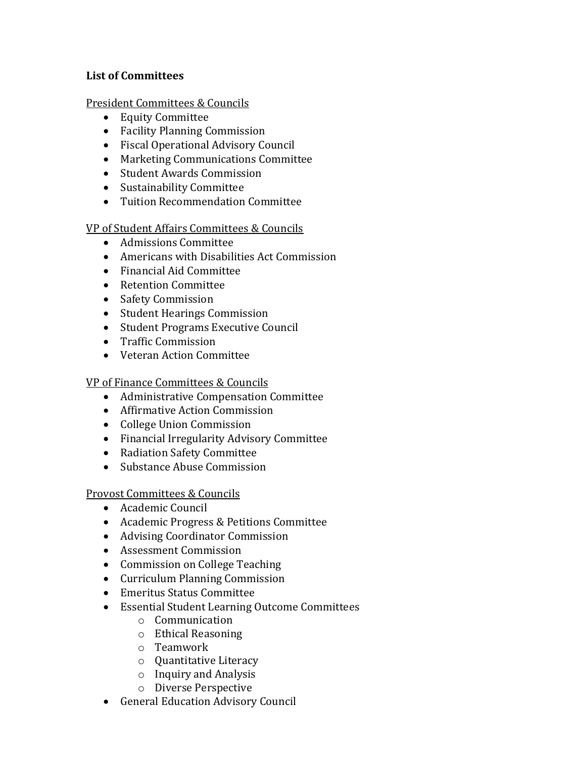## **List of Committees**

President Committees & Councils

- Equity Committee
- Facility Planning Commission
- Fiscal Operational Advisory Council
- Marketing Communications Committee
- Student Awards Commission
- Sustainability Committee
- Tuition Recommendation Committee

#### VP of Student Affairs Committees & Councils

- Admissions Committee
- Americans with Disabilities Act Commission
- Financial Aid Committee
- Retention Committee
- Safety Commission
- Student Hearings Commission
- Student Programs Executive Council
- Traffic Commission
- Veteran Action Committee

### VP of Finance Committees & Councils

- Administrative Compensation Committee
- Affirmative Action Commission
- College Union Commission
- Financial Irregularity Advisory Committee
- Radiation Safety Committee
- Substance Abuse Commission

Provost Committees & Councils

- Academic Council
- Academic Progress & Petitions Committee
- Advising Coordinator Commission
- Assessment Commission
- Commission on College Teaching
- Curriculum Planning Commission
- Emeritus Status Committee
- Essential Student Learning Outcome Committees
	- o Communication
	- o Ethical Reasoning
	- o Teamwork
	- o Quantitative Literacy
	- o Inquiry and Analysis
	- o Diverse Perspective
- General Education Advisory Council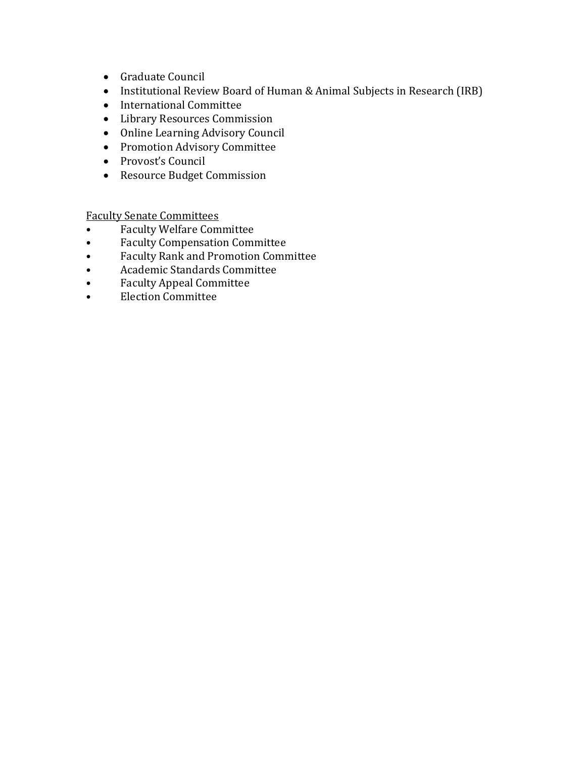- Graduate Council
- Institutional Review Board of Human & Animal Subjects in Research (IRB)
- International Committee
- Library Resources Commission
- Online Learning Advisory Council
- Promotion Advisory Committee
- Provost's Council
- Resource Budget Commission

Faculty Senate Committees

- Faculty Welfare Committee
- Faculty Compensation Committee
- Faculty Rank and Promotion Committee
- Academic Standards Committee
- Faculty Appeal Committee
- Election Committee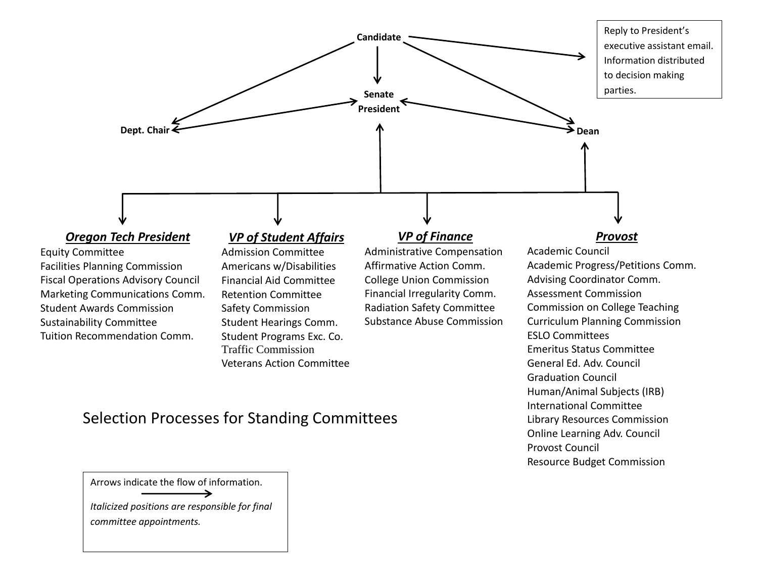

Facilities Planning Commission Fiscal Operations Advisory Council Marketing Communications Comm. Student Awards Commission Sustainability Committee Tuition Recommendation Comm.

Financial Aid Committee Retention Committee Safety Commission Student Hearings Comm. Student Programs Exc. Co. Traffic Commission Veterans Action Committee College Union Commission Financial Irregularity Comm. Radiation Safety Committee Substance Abuse Commission

Advising Coordinator Comm. Assessment Commission Commission on College Teaching Curriculum Planning Commission ESLO Committees Emeritus Status Committee General Ed. Adv. Council Graduation Council Human/Animal Subjects (IRB) International Committee Library Resources Commission Online Learning Adv. Council Provost Council Resource Budget Commission

Selection Processes for Standing Committees

Arrows indicate the flow of information.

*Italicized positions are responsible for final committee appointments.*